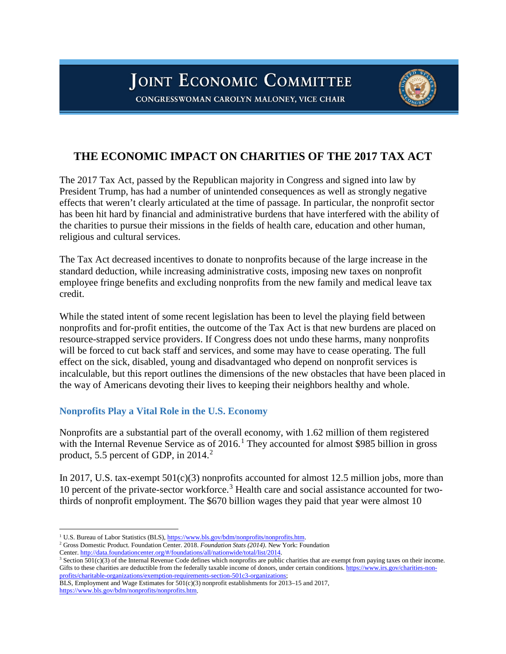# **JOINT ECONOMIC COMMITTEE**



CONGRESSWOMAN CAROLYN MALONEY, VICE CHAIR

# **THE ECONOMIC IMPACT ON CHARITIES OF THE 2017 TAX ACT**

The 2017 Tax Act, passed by the Republican majority in Congress and signed into law by President Trump, has had a number of unintended consequences as well as strongly negative effects that weren't clearly articulated at the time of passage. In particular, the nonprofit sector has been hit hard by financial and administrative burdens that have interfered with the ability of the charities to pursue their missions in the fields of health care, education and other human, religious and cultural services.

The Tax Act decreased incentives to donate to nonprofits because of the large increase in the standard deduction, while increasing administrative costs, imposing new taxes on nonprofit employee fringe benefits and excluding nonprofits from the new family and medical leave tax credit.

While the stated intent of some recent legislation has been to level the playing field between nonprofits and for-profit entities, the outcome of the Tax Act is that new burdens are placed on resource-strapped service providers. If Congress does not undo these harms, many nonprofits will be forced to cut back staff and services, and some may have to cease operating. The full effect on the sick, disabled, young and disadvantaged who depend on nonprofit services is incalculable, but this report outlines the dimensions of the new obstacles that have been placed in the way of Americans devoting their lives to keeping their neighbors healthy and whole.

#### **Nonprofits Play a Vital Role in the U.S. Economy**

Nonprofits are a substantial part of the overall economy, with 1.62 million of them registered with the Internal Revenue Service as of 20[1](#page-0-0)6.<sup>1</sup> They accounted for almost \$985 billion in gross product, 5.5 percent of GDP, in [2](#page-0-1)014.<sup>2</sup>

In 2017, U.S. tax-exempt  $501(c)(3)$  nonprofits accounted for almost 12.5 million jobs, more than 10 percent of the private-sector workforce.[3](#page-0-2) Health care and social assistance accounted for twothirds of nonprofit employment. The \$670 billion wages they paid that year were almost 10

<span id="page-0-0"></span><sup>&</sup>lt;sup>1</sup> U.S. Bureau of Labor Statistics (BLS)[, https://www.bls.gov/bdm/nonprofits/nonprofits.htm.](https://www.bls.gov/bdm/nonprofits/nonprofits.htm)

<span id="page-0-1"></span><sup>2</sup> Gross Domestic Product. Foundation Center. 2018. *Foundation Stats (2014)*. New York: Foundation

Center. [http://data.foundationcenter.org/#/foundations/all/nationwide/total/list/2014.](http://data.foundationcenter.org/#/foundations/all/nationwide/total/list/2014)

<span id="page-0-2"></span><sup>&</sup>lt;sup>3</sup> Section 501(c)(3) of the Internal Revenue Code defines which nonprofits are public charities that are exempt from paying taxes on their income. Gifts to these charities are deductible from the federally taxable income of donors, under certain conditions[. https://www.irs.gov/charities-non](https://www.irs.gov/charities-non-profits/charitable-organizations/exemption-requirements-section-501c3-organizations)[profits/charitable-organizations/exemption-requirements-section-501c3-organizations;](https://www.irs.gov/charities-non-profits/charitable-organizations/exemption-requirements-section-501c3-organizations)

BLS, Employment and Wage Estimates for 501(c)(3) nonprofit establishments for 2013–15 and 2017, [https://www.bls.gov/bdm/nonprofits/nonprofits.htm.](http://links.govdelivery.com/track?type=click&enid=ZWFzPTEmbXNpZD0mYXVpZD0mbWFpbGluZ2lkPTIwMTkwMzA3LjI4MTM4MzEmbWVzc2FnZWlkPU1EQi1QUkQtQlVMLTIwMTkwMzA3LjI4MTM4MzEmZGF0YWJhc2VpZD0xMDAxJnNlcmlhbD0xNzA5MTQzMiZlbWFpbGlkPXRlcHBlcm1hcmxpbkBhb2wuY29tJnVzZXJpZD10ZXBwZXJtYXJsaW5AYW9sLmNvbSZ0YXJnZXRpZD0mZmw9JmV4dHJhPU11bHRpdmFyaWF0ZUlkPSYmJg==&&&101&&&https://www.bls.gov/bdm/nonprofits/nonprofits.htm)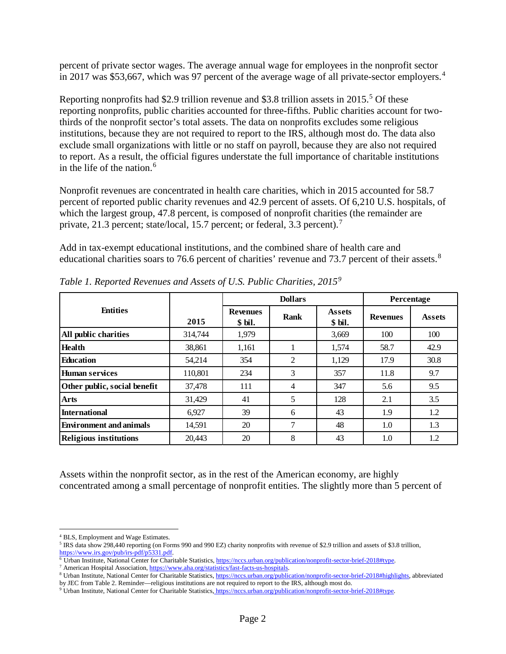percent of private sector wages. The average annual wage for employees in the nonprofit sector in 2017 was \$53,667, which was 97 percent of the average wage of all private-sector employers. [4](#page-1-0)

Reporting nonprofits had \$2.9 trillion revenue and \$3.8 trillion assets in 201[5](#page-1-1).<sup>5</sup> Of these reporting nonprofits, public charities accounted for three-fifths. Public charities account for twothirds of the nonprofit sector's total assets. The data on nonprofits excludes some religious institutions, because they are not required to report to the IRS, although most do. The data also exclude small organizations with little or no staff on payroll, because they are also not required to report. As a result, the official figures understate the full importance of charitable institutions in the life of the nation. $6$ 

Nonprofit revenues are concentrated in health care charities, which in 2015 accounted for 58.7 percent of reported public charity revenues and 42.9 percent of assets. Of 6,210 U.S. hospitals, of which the largest group, 47.8 percent, is composed of nonprofit charities (the remainder are private, 21.3 percent; state/local, 15.[7](#page-1-3) percent; or federal, 3.3 percent).<sup>7</sup>

Add in tax-exempt educational institutions, and the combined share of health care and educational charities soars to 76.6 percent of charities' revenue and 73.7 percent of their assets.<sup>[8](#page-1-4)</sup>

|                                |         | <b>Dollars</b>             |             |                          | Percentage      |               |
|--------------------------------|---------|----------------------------|-------------|--------------------------|-----------------|---------------|
| <b>Entities</b>                | 2015    | <b>Revenues</b><br>\$ bil. | <b>Rank</b> | <b>Assets</b><br>\$ bil. | <b>Revenues</b> | <b>Assets</b> |
| All public charities           | 314,744 | 1,979                      |             | 3,669                    | 100             | 100           |
| <b>Health</b>                  | 38,861  | 1,161                      |             | 1.574                    | 58.7            | 42.9          |
| <b>Education</b>               | 54,214  | 354                        | 2           | 1,129                    | 17.9            | 30.8          |
| <b>Human services</b>          | 110,801 | 234                        | 3           | 357                      | 11.8            | 9.7           |
| Other public, social benefit   | 37,478  | 111                        | 4           | 347                      | 5.6             | 9.5           |
| <b>Arts</b>                    | 31.429  | 41                         | 5           | 128                      | 2.1             | 3.5           |
| <b>International</b>           | 6.927   | 39                         | 6           | 43                       | 1.9             | 1.2           |
| <b>Environment and animals</b> | 14,591  | 20                         |             | 48                       | 1.0             | 1.3           |
| <b>Religious institutions</b>  | 20,443  | 20                         | 8           | 43                       | 1.0             | 1.2           |

*Table 1. Reported Revenues and Assets of U.S. Public Charities, 2015[9](#page-1-5)*

Assets within the nonprofit sector, as in the rest of the American economy, are highly concentrated among a small percentage of nonprofit entities. The slightly more than 5 percent of

<span id="page-1-0"></span> <sup>4</sup> BLS, Employment and Wage Estimates.

<span id="page-1-1"></span><sup>5</sup> IRS data show 298,440 reporting (on Forms 990 and 990 EZ) charity nonprofits with revenue of \$2.9 trillion and assets of \$3.8 trillion, [https://www.irs.gov/pub/irs-pdf/p5331.pdf.](https://www.irs.gov/pub/irs-pdf/p5331.pdf)

<span id="page-1-2"></span><sup>6</sup> Urban Institute, National Center for Charitable Statistics[, https://nccs.urban.org/publication/nonprofit-sector-brief-2018#type.](https://nccs.urban.org/publication/nonprofit-sector-brief-2018#type)

<sup>&</sup>lt;sup>7</sup> American Hospital Association, [https://www.aha.org/statistics/fast-facts-us-hospitals.](https://www.aha.org/statistics/fast-facts-us-hospitals)

<span id="page-1-4"></span><span id="page-1-3"></span><sup>8</sup> Urban Institute, National Center for Charitable Statistics, [https://nccs.urban.org/publication/nonprofit-sector-brief-2018#highlights,](https://nccs.urban.org/publication/nonprofit-sector-brief-2018%2523highlights) abbreviated by JEC from Table 2. Reminder—religious institutions are not required to report to the IRS, although most do.

<span id="page-1-5"></span><sup>9</sup> Urban Institute, National Center for Charitable Statistics, [https://nccs.urban.org/publication/nonprofit-sector-brief-2018#type.](https://nccs.urban.org/publication/nonprofit-sector-brief-2018#type)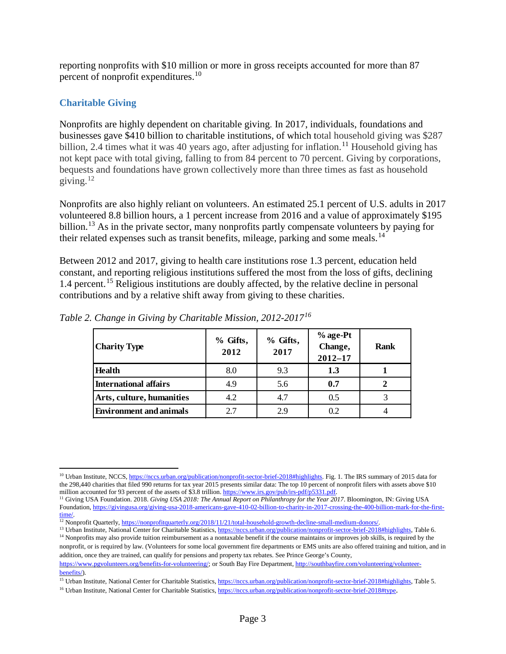reporting nonprofits with \$10 million or more in gross receipts accounted for more than 87 percent of nonprofit expenditures.<sup>[10](#page-2-0)</sup>

## **Charitable Giving**

Nonprofits are highly dependent on charitable giving. In 2017, individuals, foundations and businesses gave \$410 billion to charitable institutions, of which total household giving was \$287 billion, 2.4 times what it was 40 years ago, after adjusting for inflation.<sup>[11](#page-2-1)</sup> Household giving has not kept pace with total giving, falling to from 84 percent to 70 percent. Giving by corporations, bequests and foundations have grown collectively more than three times as fast as household giving. $12$ 

Nonprofits are also highly reliant on volunteers. An estimated 25.1 percent of U.S. adults in 2017 volunteered 8.8 billion hours, a 1 percent increase from 2016 and a value of approximately \$195 billion.<sup>[13](#page-2-3)</sup> As in the private sector, many nonprofits partly compensate volunteers by paying for their related expenses such as transit benefits, mileage, parking and some meals.<sup>[14](#page-2-4)</sup>

Between 2012 and 2017, giving to health care institutions rose 1.3 percent, education held constant, and reporting religious institutions suffered the most from the loss of gifts, declining 1.4 percent. [15](#page-2-5) Religious institutions are doubly affected, by the relative decline in personal contributions and by a relative shift away from giving to these charities.

| <b>Charity Type</b>            | % Gifts,<br>2012 | % Gifts,<br>2017 | % age-Pt<br>Change,<br>$2012 - 17$ | <b>Rank</b>    |
|--------------------------------|------------------|------------------|------------------------------------|----------------|
| <b>Health</b>                  | 8.0              | 9.3              | 1.3                                |                |
| <b>International affairs</b>   | 4.9              | 5.6              | 0.7                                | $\overline{2}$ |
| Arts, culture, humanities      | 4.2              | 4.7              | 0.5                                |                |
| <b>Environment and animals</b> | 2.7              | 2.9              | 0.2                                |                |

*Table 2. Change in Giving by Charitable Mission, 2012-2017[16](#page-2-6)*

<span id="page-2-3"></span><sup>13</sup> Urban Institute, National Center for Charitable Statistics[, https://nccs.urban.org/publication/nonprofit-sector-brief-2018#highlights,](https://nccs.urban.org/publication/nonprofit-sector-brief-2018%2523highlights) Table 6. <sup>14</sup> Nonprofits may also provide tuition reimbursement as a nontaxable benefit if the course maintains or improves job skills, is required by the

<span id="page-2-0"></span><sup>&</sup>lt;sup>10</sup> Urban Institute, NCCS[, https://nccs.urban.org/publication/nonprofit-sector-brief-2018#highlights.](https://nccs.urban.org/publication/nonprofit-sector-brief-2018%2523highlights) Fig. 1. The IRS summary of 2015 data for the 298,440 charities that filed 990 returns for tax year 2015 presents similar data: The top 10 percent of nonprofit filers with assets above \$10 million accounted for 93 percent of the assets of \$3.8 trillion. https://ww

<span id="page-2-1"></span><sup>&</sup>lt;sup>11</sup> Giving USA Foundation. 2018. Giving USA 2018: The Annual Report on Philanthropy for the Year 2017. Bloomington, IN: Giving USA Foundation[, https://givingusa.org/giving-usa-2018-americans-gave-410-02-billion-to-charity-in-2017-crossing-the-400-billion-mark-for-the-first](https://givingusa.org/giving-usa-2018-americans-gave-410-02-billion-to-charity-in-2017-crossing-the-400-billion-mark-for-the-first-time/)[time/.](https://givingusa.org/giving-usa-2018-americans-gave-410-02-billion-to-charity-in-2017-crossing-the-400-billion-mark-for-the-first-time/)

<span id="page-2-2"></span><sup>&</sup>lt;sup>12</sup> Nonprofit Quarterly[, https://nonprofitquarterly.org/2018/11/21/total-household-growth-decline-small-medium-donors/.](https://nonprofitquarterly.org/2018/11/21/total-household-growth-decline-small-medium-donors/)

<span id="page-2-4"></span>nonprofit, or is required by law. (Volunteers for some local government fire departments or EMS units are also offered training and tuition, and in addition, once they are trained, can qualify for pensions and property tax rebates. See Prince George's County,

[https://www.pgvolunteers.org/benefits-for-volunteering/;](https://www.pgvolunteers.org/benefits-for-volunteering/) or South Bay Fire Department[, http://southbayfire.com/volunteering/volunteer](http://southbayfire.com/volunteering/volunteer-benefits/)[benefits/\)](http://southbayfire.com/volunteering/volunteer-benefits/).

<span id="page-2-5"></span><sup>&</sup>lt;sup>15</sup> Urban Institute, National Center for Charitable Statistics[, https://nccs.urban.org/publication/nonprofit-sector-brief-2018#highlights,](https://nccs.urban.org/publication/nonprofit-sector-brief-2018#highlights) Table 5.

<span id="page-2-6"></span><sup>&</sup>lt;sup>16</sup> Urban Institute, National Center for Charitable Statistics[, https://nccs.urban.org/publication/nonprofit-sector-brief-2018#type.](https://nccs.urban.org/publication/nonprofit-sector-brief-2018#type)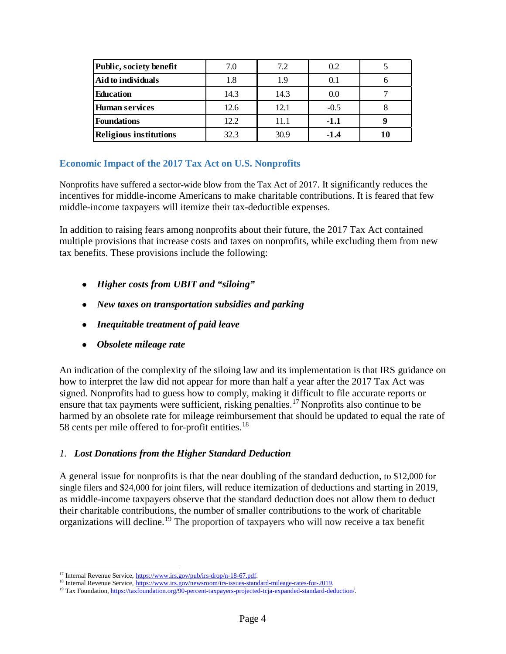| Public, society benefit       | 7.0  | 7.2  | 0.2    |  |
|-------------------------------|------|------|--------|--|
| Aid to individuals            | 1.8  | 1.9  | 0.1    |  |
| <b>Education</b>              | 14.3 | 14.3 | 0.0    |  |
| <b>Human services</b>         | 12.6 | 12.1 | $-0.5$ |  |
| <b>Foundations</b>            | 12.2 | 11.1 | $-1.1$ |  |
| <b>Religious institutions</b> | 32.3 | 30.9 | $-1.4$ |  |

#### **Economic Impact of the 2017 Tax Act on U.S. Nonprofits**

Nonprofits have suffered a sector-wide blow from the Tax Act of 2017. It significantly reduces the incentives for middle-income Americans to make charitable contributions. It is feared that few middle-income taxpayers will itemize their tax-deductible expenses.

In addition to raising fears among nonprofits about their future, the 2017 Tax Act contained multiple provisions that increase costs and taxes on nonprofits, while excluding them from new tax benefits. These provisions include the following:

- *Higher costs from UBIT and "siloing"*
- *New taxes on transportation subsidies and parking*
- *Inequitable treatment of paid leave*
- *Obsolete mileage rate*

An indication of the complexity of the siloing law and its implementation is that IRS guidance on how to interpret the law did not appear for more than half a year after the 2017 Tax Act was signed. Nonprofits had to guess how to comply, making it difficult to file accurate reports or ensure that tax payments were sufficient, risking penalties.<sup>[17](#page-3-0)</sup> Nonprofits also continue to be harmed by an obsolete rate for mileage reimbursement that should be updated to equal the rate of 58 cents per mile offered to for-profit entities.<sup>[18](#page-3-1)</sup>

# *1. Lost Donations from the Higher Standard Deduction*

A general issue for nonprofits is that the near doubling of the standard deduction, to \$12,000 for single filers and \$24,000 for joint filers, will reduce itemization of deductions and starting in 2019, as middle-income taxpayers observe that the standard deduction does not allow them to deduct their charitable contributions, the number of smaller contributions to the work of charitable organizations will decline.[19](#page-3-2) The proportion of taxpayers who will now receive a tax benefit

<span id="page-3-0"></span><sup>&</sup>lt;sup>17</sup> Internal Revenue Service, [https://www.irs.gov/pub/irs-drop/n-18-67.pdf.](https://www.irs.gov/pub/irs-drop/n-18-67.pdf)<br><sup>18</sup> Internal Revenue Service, [https://www.irs.gov/newsroom/irs-issues-standard-mileage-rates-for-2019.](https://www.irs.gov/newsroom/irs-issues-standard-mileage-rates-for-2019)

<span id="page-3-2"></span><span id="page-3-1"></span><sup>&</sup>lt;sup>19</sup> [Tax Foundation, https://taxfoundation.org/90-percent-taxpayers-projected-tcja-expanded-standard-deduction/.](file://JECD/Michael_Pearson/Tax%20Foundation,%20https:/taxfoundation.org/90-percent-taxpayers-projected-tcja-expanded-standard-deduction/)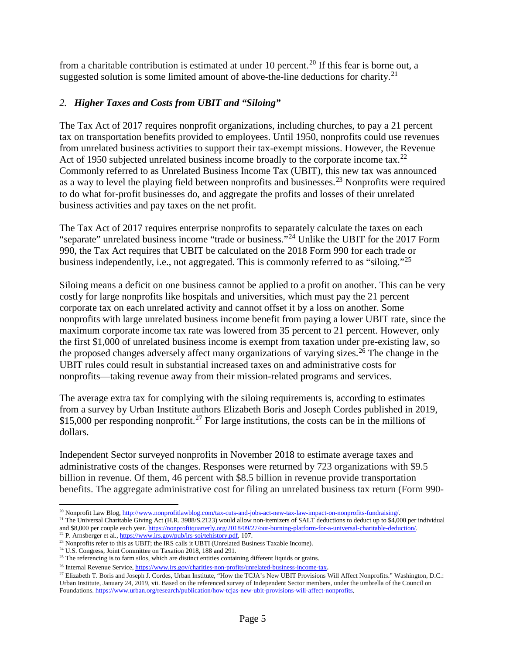from a charitable contribution is estimated at under 10 percent.<sup>[20](#page-4-0)</sup> If this fear is borne out, a suggested solution is some limited amount of above-the-line deductions for charity.<sup>[21](#page-4-1)</sup>

## *2. Higher Taxes and Costs from UBIT and "Siloing"*

The Tax Act of 2017 requires nonprofit organizations, including churches, to pay a 21 percent tax on transportation benefits provided to employees. Until 1950, nonprofits could use revenues from unrelated business activities to support their tax-exempt missions. However, the Revenue Act of 1950 subjected unrelated business income broadly to the corporate income tax.<sup>[22](#page-4-2)</sup> Commonly referred to as Unrelated Business Income Tax (UBIT), this new tax was announced as a way to level the playing field between nonprofits and businesses.<sup>[23](#page-4-3)</sup> Nonprofits were required to do what for-profit businesses do, and aggregate the profits and losses of their unrelated business activities and pay taxes on the net profit.

The Tax Act of 2017 requires enterprise nonprofits to separately calculate the taxes on each "separate" unrelated business income "trade or business."[24](#page-4-4) Unlike the UBIT for the 2017 Form 990, the Tax Act requires that UBIT be calculated on the 2018 Form 990 for each trade or business independently, i.e., not aggregated. This is commonly referred to as "siloing."<sup>[25](#page-4-5)</sup>

Siloing means a deficit on one business cannot be applied to a profit on another. This can be very costly for large nonprofits like hospitals and universities, which must pay the 21 percent corporate tax on each unrelated activity and cannot offset it by a loss on another. Some nonprofits with large unrelated business income benefit from paying a lower UBIT rate, since the maximum corporate income tax rate was lowered from 35 percent to 21 percent. However, only the first \$1,000 of unrelated business income is exempt from taxation under pre-existing law, so the proposed changes adversely affect many organizations of varying sizes.<sup>[26](#page-4-6)</sup> The change in the UBIT rules could result in substantial increased taxes on and administrative costs for nonprofits—taking revenue away from their mission-related programs and services.

The average extra tax for complying with the siloing requirements is, according to estimates from a survey by Urban Institute authors Elizabeth Boris and Joseph Cordes published in 2019, \$15,000 per responding nonprofit.<sup>[27](#page-4-7)</sup> For large institutions, the costs can be in the millions of dollars.

Independent Sector surveyed nonprofits in November 2018 to estimate average taxes and administrative costs of the changes. Responses were returned by 723 organizations with \$9.5 billion in revenue. Of them, 46 percent with \$8.5 billion in revenue provide transportation benefits. The aggregate administrative cost for filing an unrelated business tax return (Form 990-

<span id="page-4-0"></span> <sup>20</sup> Nonprofit Law Blog[, http://www.nonprofitlawblog.com/tax-cuts-and-jobs-act-new-tax-law-impact-on-nonprofits-fundraising/.](http://www.nonprofitlawblog.com/tax-cuts-and-jobs-act-new-tax-law-impact-on-nonprofits-fundraising/)

<span id="page-4-1"></span><sup>&</sup>lt;sup>21</sup> The Universal Charitable Giving Act (H.R. 3988/S.2123) would allow non-itemizers of SALT deductions to deduct up to \$4,000 per individual and \$8,000 per couple each year[. https://nonprofitquarterly.org/2018/09/27/our-burning-platform-for-a-universal-charitable-deduction/.](https://nonprofitquarterly.org/2018/09/27/our-burning-platform-for-a-universal-charitable-deduction/)

<span id="page-4-2"></span><sup>&</sup>lt;sup>22</sup> P. Arnsberger et al.[, https://www.irs.gov/pub/irs-soi/tehistory.pdf,](https://www.irs.gov/pub/irs-soi/tehistory.pdf) 107.

<span id="page-4-3"></span><sup>&</sup>lt;sup>23</sup> Nonprofits refer to this as UBIT; the IRS calls it UBTI (Unrelated Business Taxable Income).

<span id="page-4-4"></span><sup>24</sup> U.S. Congress, Joint Committee on Taxation 2018, 188 and 291.

<span id="page-4-5"></span> $25$  The referencing is to farm silos, which are distinct entities containing different liquids or grains.

<span id="page-4-7"></span><span id="page-4-6"></span><sup>&</sup>lt;sup>26</sup> Internal Revenue Service, [https://www.irs.gov/charities-non-profits/unrelated-business-income-tax.](https://www.irs.gov/charities-non-profits/unrelated-business-income-tax)<br><sup>27</sup> Elizabeth T. Boris and Joseph J. Cordes, Urban Institute, "How the TCJA's New UBIT Provisions Will Affect Nonprof Urban Institute, January 24, 2019, vii. Based on the referenced survey of Independent Sector members, under the umbrella of the Council on Foundations[. https://www.urban.org/research/publication/how-tcjas-new-ubit-provisions-will-affect-nonprofits.](https://www.urban.org/research/publication/how-tcjas-new-ubit-provisions-will-affect-nonprofits)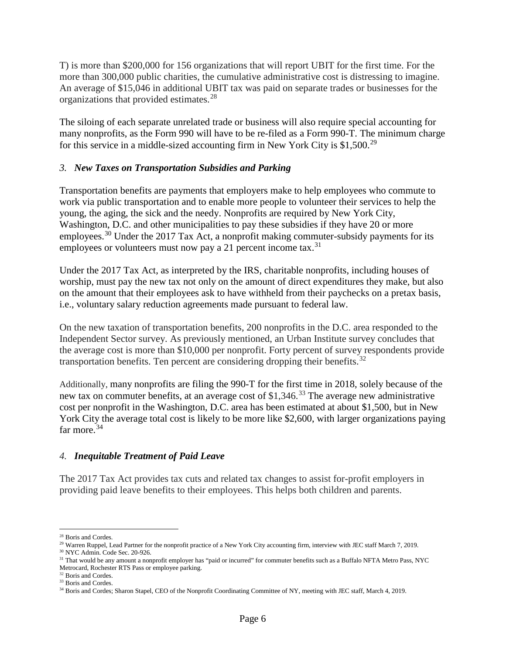T) is more than \$200,000 for 156 organizations that will report UBIT for the first time. For the more than 300,000 public charities, the cumulative administrative cost is distressing to imagine. An average of \$15,046 in additional UBIT tax was paid on separate trades or businesses for the organizations that provided estimates.<sup>[28](#page-5-0)</sup>

The siloing of each separate unrelated trade or business will also require special accounting for many nonprofits, as the Form 990 will have to be re-filed as a Form 990-T. The minimum charge for this service in a middle-sized accounting firm in New York City is \$1,500.[29](#page-5-1)

#### *3. New Taxes on Transportation Subsidies and Parking*

Transportation benefits are payments that employers make to help employees who commute to work via public transportation and to enable more people to volunteer their services to help the young, the aging, the sick and the needy. Nonprofits are required by New York City, Washington, D.C. and other municipalities to pay these subsidies if they have 20 or more employees.<sup>[30](#page-5-2)</sup> Under the 2017 Tax Act, a nonprofit making commuter-subsidy payments for its employees or volunteers must now pay a 21 percent income tax. $31$ 

Under the 2017 Tax Act, as interpreted by the IRS, charitable nonprofits, including houses of worship, must pay the new tax not only on the amount of direct expenditures they make, but also on the amount that their employees ask to have withheld from their paychecks on a pretax basis, i.e., voluntary salary reduction agreements made pursuant to federal law.

On the new taxation of transportation benefits, 200 nonprofits in the D.C. area responded to the Independent Sector survey. As previously mentioned, an Urban Institute survey concludes that the average cost is more than \$10,000 per nonprofit. Forty percent of survey respondents provide transportation benefits. Ten percent are considering dropping their benefits.<sup>[32](#page-5-4)</sup>

Additionally, many nonprofits are filing the 990-T for the first time in 2018, solely because of the new tax on commuter benefits, at an average cost of \$1,346.<sup>[33](#page-5-5)</sup> The average new administrative cost per nonprofit in the Washington, D.C. area has been estimated at about \$1,500, but in New York City the average total cost is likely to be more like \$2,600, with larger organizations paying far more.<sup>[34](#page-5-6)</sup>

#### *4. Inequitable Treatment of Paid Leave*

The 2017 Tax Act provides tax cuts and related tax changes to assist for-profit employers in providing paid leave benefits to their employees. This helps both children and parents.

<span id="page-5-0"></span> <sup>28</sup> Boris and Cordes.

<span id="page-5-1"></span><sup>&</sup>lt;sup>29</sup> Warren Ruppel, Lead Partner for the nonprofit practice of a New York City accounting firm, interview with JEC staff March 7, 2019.

<sup>30</sup> NYC Admin. Code Sec. 20-926.

<span id="page-5-3"></span><span id="page-5-2"></span><sup>&</sup>lt;sup>31</sup> That would be any amount a nonprofit employer has "paid or incurred" for commuter benefits such as a Buffalo NFTA Metro Pass, NYC Metrocard, Rochester RTS Pass or employee parking.

<span id="page-5-4"></span><sup>&</sup>lt;sup>32</sup> Boris and Cordes. <sup>33</sup> Boris and Cordes.

<span id="page-5-6"></span><span id="page-5-5"></span><sup>&</sup>lt;sup>34</sup> Boris and Cordes; Sharon Stapel, CEO of the Nonprofit Coordinating Committee of NY, meeting with JEC staff, March 4, 2019.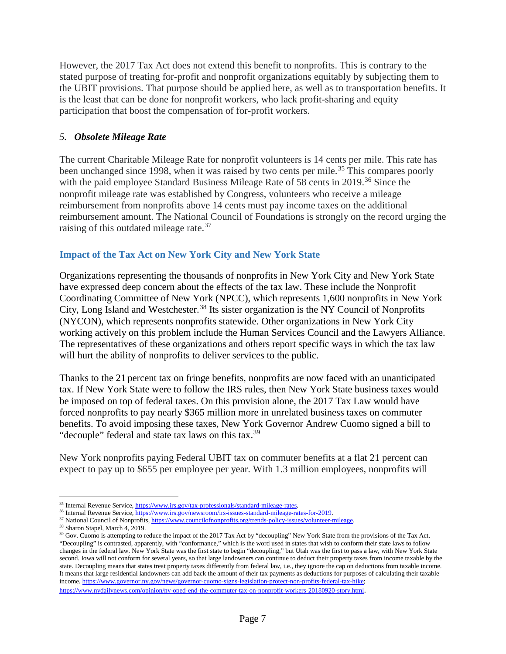However, the 2017 Tax Act does not extend this benefit to nonprofits. This is contrary to the stated purpose of treating for-profit and nonprofit organizations equitably by subjecting them to the UBIT provisions. That purpose should be applied here, as well as to transportation benefits. It is the least that can be done for nonprofit workers, who lack profit-sharing and equity participation that boost the compensation of for-profit workers.

#### *5. Obsolete Mileage Rate*

The current Charitable Mileage Rate for nonprofit volunteers is 14 cents per mile. This rate has been unchanged since 1998, when it was raised by two cents per mile.<sup>[35](#page-6-0)</sup> This compares poorly with the paid employee Standard Business Mileage Rate of 58 cents in 2019.<sup>[36](#page-6-1)</sup> Since the nonprofit mileage rate was established by Congress, volunteers who receive a mileage reimbursement from nonprofits above 14 cents must pay income taxes on the additional reimbursement amount. The National Council of Foundations is strongly on the record urging the raising of this outdated mileage rate.<sup>[37](#page-6-2)</sup>

# **Impact of the Tax Act on New York City and New York State**

Organizations representing the thousands of nonprofits in New York City and New York State have expressed deep concern about the effects of the tax law. These include the Nonprofit Coordinating Committee of New York (NPCC), which represents 1,600 nonprofits in New York City, Long Island and Westchester.<sup>[38](#page-6-3)</sup> Its sister organization is the NY Council of Nonprofits (NYCON), which represents nonprofits statewide. Other organizations in New York City working actively on this problem include the Human Services Council and the Lawyers Alliance. The representatives of these organizations and others report specific ways in which the tax law will hurt the ability of nonprofits to deliver services to the public.

Thanks to the 21 percent tax on fringe benefits, nonprofits are now faced with an unanticipated tax. If New York State were to follow the IRS rules, then New York State business taxes would be imposed on top of federal taxes. On this provision alone, the 2017 Tax Law would have forced nonprofits to pay nearly \$365 million more in unrelated business taxes on commuter benefits. To avoid imposing these taxes, New York Governor Andrew Cuomo signed a bill to "decouple" federal and state tax laws on this tax.<sup>[39](#page-6-4)</sup>

New York nonprofits paying Federal UBIT tax on commuter benefits at a flat 21 percent can expect to pay up to \$655 per employee per year. With 1.3 million employees, nonprofits will

<span id="page-6-0"></span><sup>&</sup>lt;sup>35</sup> Internal Revenue Service, https://www.irs.gov/tax-professionals/standard-mileage-rates.<br><sup>36</sup> Internal Revenue Service, [https://www.irs.gov/newsroom/irs-issues-standard-mileage-rates-for-2019.](https://www.irs.gov/newsroom/irs-issues-standard-mileage-rates-for-2019)

<span id="page-6-2"></span><span id="page-6-1"></span><sup>&</sup>lt;sup>37</sup> National Council of Nonprofits[, https://www.councilofnonprofits.org/trends-policy-issues/volunteer-mileage.](https://www.councilofnonprofits.org/trends-policy-issues/volunteer-mileage)

<sup>38</sup> Sharon Stapel, March 4, 2019.

<span id="page-6-4"></span><span id="page-6-3"></span><sup>&</sup>lt;sup>39</sup> Gov. Cuomo is attempting to reduce the impact of the 2017 Tax Act by "decoupling" New York State from the provisions of the Tax Act. "Decoupling" is contrasted, apparently, with "conformance," which is the word used in states that wish to conform their state laws to follow changes in the federal law. New York State was the first state to begin "decoupling," but Utah was the first to pass a law, with New York State second. Iowa will not conform for several years, so that large landowners can continue to deduct their property taxes from income taxable by the state. Decoupling means that states treat property taxes differently from federal law, i.e., they ignore the cap on deductions from taxable income. It means that large residential landowners can add back the amount of their tax payments as deductions for purposes of calculating their taxable income. [https://www.governor.ny.gov/news/governor-cuomo-signs-legislation-protect-non-profits-federal-tax-hike;](https://www.governor.ny.gov/news/governor-cuomo-signs-legislation-protect-non-profits-federal-tax-hike)

[https://www.nydailynews.com/opinion/ny-oped-end-the-commuter-tax-on-nonprofit-workers-20180920-story.html.](https://www.nydailynews.com/opinion/ny-oped-end-the-commuter-tax-on-nonprofit-workers-20180920-story.html)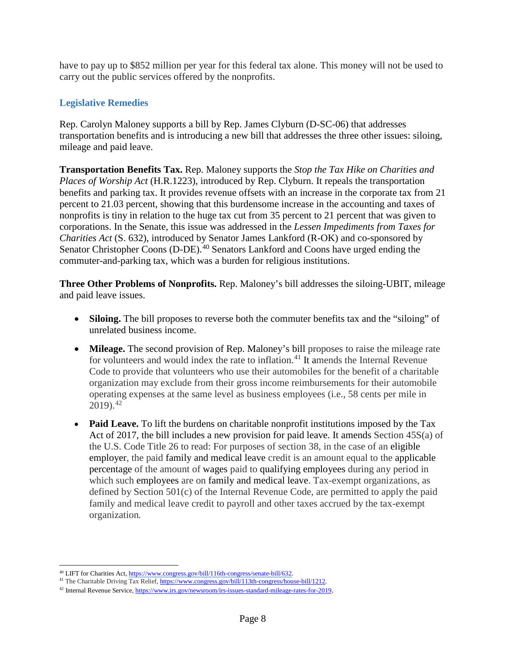have to pay up to \$852 million per year for this federal tax alone. This money will not be used to carry out the public services offered by the nonprofits.

# **Legislative Remedies**

Rep. Carolyn Maloney supports a bill by Rep. James Clyburn (D-SC-06) that addresses transportation benefits and is introducing a new bill that addresses the three other issues: siloing, mileage and paid leave.

**Transportation Benefits Tax.** Rep. Maloney supports the *Stop the Tax Hike on Charities and Places of Worship Act* (H.R.1223), introduced by Rep. Clyburn. It repeals the transportation benefits and parking tax. It provides revenue offsets with an increase in the corporate tax from 21 percent to 21.03 percent, showing that this burdensome increase in the accounting and taxes of nonprofits is tiny in relation to the huge tax cut from 35 percent to 21 percent that was given to corporations. In the Senate, this issue was addressed in the *Lessen Impediments from Taxes for Charities Act* (S. 632), introduced by Senator James Lankford (R-OK) and co-sponsored by Senator Christopher Coons (D-DE).<sup>[40](#page-7-0)</sup> Senators Lankford and Coons have urged ending the commuter-and-parking tax, which was a burden for religious institutions.

**Three Other Problems of Nonprofits.** Rep. Maloney's bill addresses the siloing-UBIT, mileage and paid leave issues.

- **Siloing.** The bill proposes to reverse both the commuter benefits tax and the "siloing" of unrelated business income.
- **Mileage.** The second provision of Rep. Maloney's bill proposes to raise the mileage rate for volunteers and would index the rate to inflation.<sup>[41](#page-7-1)</sup> It amends the Internal Revenue Code to provide that volunteers who use their automobiles for the benefit of a charitable organization may exclude from their gross income reimbursements for their automobile operating expenses at the same level as business employees (i.e., 58 cents per mile in  $2019$ .<sup>[42](#page-7-2)</sup>
- **Paid Leave.** To lift the burdens on charitable nonprofit institutions imposed by the Tax Act of 2017, the bill includes a new provision for paid leave. It amends Section 45S(a) of the U.S. Code Title 26 to read: For purposes of section 38, in the case of an [eligible](https://www.law.cornell.edu/definitions/uscode.php?width=840&height=800&iframe=true&def_id=26-USC-2125311716-346245918&term_occur=1&term_src=title:26:subtitle:A:chapter:1:subchapter:A:part:IV:subpart:D:section:45S)  [employer,](https://www.law.cornell.edu/definitions/uscode.php?width=840&height=800&iframe=true&def_id=26-USC-2125311716-346245918&term_occur=1&term_src=title:26:subtitle:A:chapter:1:subchapter:A:part:IV:subpart:D:section:45S) the paid [family and medical leave](https://www.law.cornell.edu/definitions/uscode.php?width=840&height=800&iframe=true&def_id=26-USC-2090255395-346247840&term_occur=1&term_src=title:26:subtitle:A:chapter:1:subchapter:A:part:IV:subpart:D:section:45S) credit is an amount equal to the [applicable](https://www.law.cornell.edu/definitions/uscode.php?width=840&height=800&iframe=true&def_id=26-USC-419852869-1232838982&term_occur=33&term_src=title:26:subtitle:A:chapter:1:subchapter:A:part:IV:subpart:D:section:45S)  [percentage](https://www.law.cornell.edu/definitions/uscode.php?width=840&height=800&iframe=true&def_id=26-USC-419852869-1232838982&term_occur=33&term_src=title:26:subtitle:A:chapter:1:subchapter:A:part:IV:subpart:D:section:45S) of the amount of [wages](https://www.law.cornell.edu/definitions/uscode.php?width=840&height=800&iframe=true&def_id=26-USC-112890955-1197403733&term_occur=1&term_src=title:26:subtitle:A:chapter:1:subchapter:A:part:IV:subpart:D:section:45S) paid to [qualifying employees](https://www.law.cornell.edu/definitions/uscode.php?width=840&height=800&iframe=true&def_id=26-USC-695345401-1197403736&term_occur=1&term_src=title:26:subtitle:A:chapter:1:subchapter:A:part:IV:subpart:D:section:45S) during any period in which such [employees](https://www.law.cornell.edu/definitions/uscode.php?width=840&height=800&iframe=true&def_id=26-USC-1193469614-570022142&term_occur=112&term_src=title:26:subtitle:A:chapter:1:subchapter:A:part:IV:subpart:D:section:45S) are on [family and medical leave.](https://www.law.cornell.edu/definitions/uscode.php?width=840&height=800&iframe=true&def_id=26-USC-2090255395-346247840&term_occur=2&term_src=title:26:subtitle:A:chapter:1:subchapter:A:part:IV:subpart:D:section:45S) Tax-exempt organizations, as defined by Section 501(c) of the Internal Revenue Code, are permitted to apply the paid family and medical leave credit to payroll and other taxes accrued by the tax-exempt organization*.*

<sup>&</sup>lt;sup>40</sup> LIFT for Charities Act[, https://www.congress.gov/bill/116th-congress/senate-bill/632.](https://www.congress.gov/bill/116th-congress/senate-bill/632)

<span id="page-7-1"></span><span id="page-7-0"></span><sup>&</sup>lt;sup>41</sup> The Charitable Driving Tax Relief[, https://www.congress.gov/bill/113th-congress/house-bill/1212.](https://www.congress.gov/bill/113th-congress/house-bill/1212)

<span id="page-7-2"></span><sup>&</sup>lt;sup>42</sup> Internal Revenue Service, [https://www.irs.gov/newsroom/irs-issues-standard-mileage-rates-for-2019.](https://www.irs.gov/newsroom/irs-issues-standard-mileage-rates-for-2019)